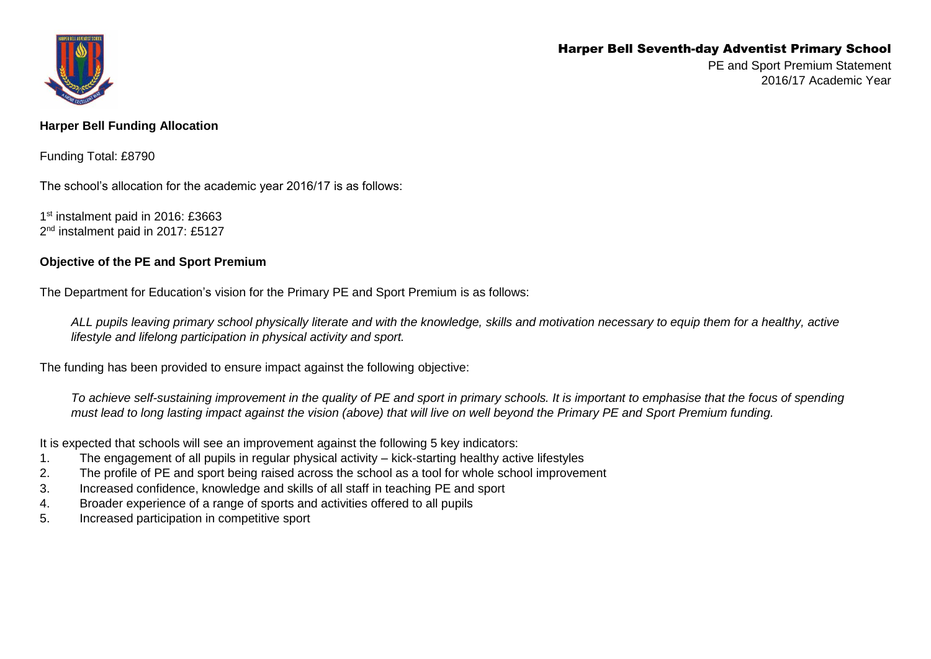## Harper Bell Seventh-day Adventist Primary School



PE and Sport Premium Statement 2016/17 Academic Year

## **Harper Bell Funding Allocation**

Funding Total: £8790

The school's allocation for the academic year 2016/17 is as follows:

1<sup>st</sup> instalment paid in 2016: £3663 2<sup>nd</sup> instalment paid in 2017: £5127

## **Objective of the PE and Sport Premium**

The Department for Education's vision for the Primary PE and Sport Premium is as follows:

*ALL pupils leaving primary school physically literate and with the knowledge, skills and motivation necessary to equip them for a healthy, active lifestyle and lifelong participation in physical activity and sport.*

The funding has been provided to ensure impact against the following objective:

*To achieve self-sustaining improvement in the quality of PE and sport in primary schools. It is important to emphasise that the focus of spending must lead to long lasting impact against the vision (above) that will live on well beyond the Primary PE and Sport Premium funding.* 

It is expected that schools will see an improvement against the following 5 key indicators:

- 1. The engagement of all pupils in regular physical activity kick-starting healthy active lifestyles
- 2. The profile of PE and sport being raised across the school as a tool for whole school improvement
- 3. Increased confidence, knowledge and skills of all staff in teaching PE and sport
- 4. Broader experience of a range of sports and activities offered to all pupils
- 5. Increased participation in competitive sport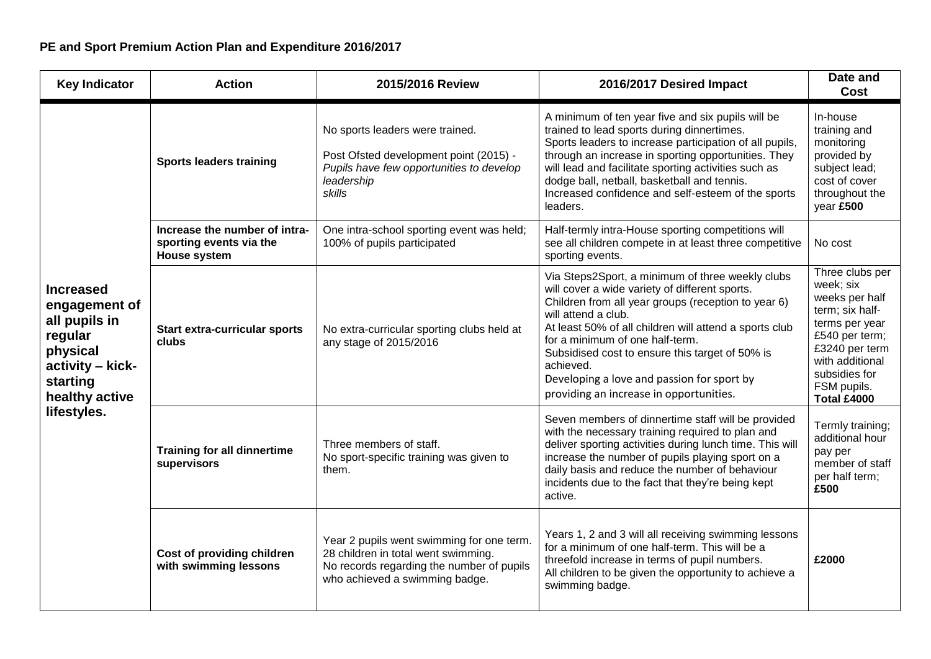| <b>Key Indicator</b>                                                                                                                       | <b>Action</b>                                                                   | 2015/2016 Review                                                                                                                                                | 2016/2017 Desired Impact                                                                                                                                                                                                                                                                                                                                                                                                               | Date and<br><b>Cost</b>                                                                                                                                                                          |
|--------------------------------------------------------------------------------------------------------------------------------------------|---------------------------------------------------------------------------------|-----------------------------------------------------------------------------------------------------------------------------------------------------------------|----------------------------------------------------------------------------------------------------------------------------------------------------------------------------------------------------------------------------------------------------------------------------------------------------------------------------------------------------------------------------------------------------------------------------------------|--------------------------------------------------------------------------------------------------------------------------------------------------------------------------------------------------|
| <b>Increased</b><br>engagement of<br>all pupils in<br>regular<br>physical<br>activity - kick-<br>starting<br>healthy active<br>lifestyles. | <b>Sports leaders training</b>                                                  | No sports leaders were trained.<br>Post Ofsted development point (2015) -<br>Pupils have few opportunities to develop<br>leadership<br>skills                   | A minimum of ten year five and six pupils will be<br>trained to lead sports during dinnertimes.<br>Sports leaders to increase participation of all pupils,<br>through an increase in sporting opportunities. They<br>will lead and facilitate sporting activities such as<br>dodge ball, netball, basketball and tennis.<br>Increased confidence and self-esteem of the sports<br>leaders.                                             | In-house<br>training and<br>monitoring<br>provided by<br>subject lead;<br>cost of cover<br>throughout the<br>year £500                                                                           |
|                                                                                                                                            | Increase the number of intra-<br>sporting events via the<br><b>House system</b> | One intra-school sporting event was held;<br>100% of pupils participated                                                                                        | Half-termly intra-House sporting competitions will<br>see all children compete in at least three competitive<br>sporting events.                                                                                                                                                                                                                                                                                                       | No cost                                                                                                                                                                                          |
|                                                                                                                                            | <b>Start extra-curricular sports</b><br>clubs                                   | No extra-curricular sporting clubs held at<br>any stage of 2015/2016                                                                                            | Via Steps2Sport, a minimum of three weekly clubs<br>will cover a wide variety of different sports.<br>Children from all year groups (reception to year 6)<br>will attend a club.<br>At least 50% of all children will attend a sports club<br>for a minimum of one half-term.<br>Subsidised cost to ensure this target of 50% is<br>achieved.<br>Developing a love and passion for sport by<br>providing an increase in opportunities. | Three clubs per<br>week; six<br>weeks per half<br>term; six half-<br>terms per year<br>£540 per term;<br>£3240 per term<br>with additional<br>subsidies for<br>FSM pupils.<br><b>Total £4000</b> |
|                                                                                                                                            | <b>Training for all dinnertime</b><br>supervisors                               | Three members of staff.<br>No sport-specific training was given to<br>them.                                                                                     | Seven members of dinnertime staff will be provided<br>with the necessary training required to plan and<br>deliver sporting activities during lunch time. This will<br>increase the number of pupils playing sport on a<br>daily basis and reduce the number of behaviour<br>incidents due to the fact that they're being kept<br>active.                                                                                               | Termly training;<br>additional hour<br>pay per<br>member of staff<br>per half term;<br>£500                                                                                                      |
|                                                                                                                                            | Cost of providing children<br>with swimming lessons                             | Year 2 pupils went swimming for one term.<br>28 children in total went swimming.<br>No records regarding the number of pupils<br>who achieved a swimming badge. | Years 1, 2 and 3 will all receiving swimming lessons<br>for a minimum of one half-term. This will be a<br>threefold increase in terms of pupil numbers.<br>All children to be given the opportunity to achieve a<br>swimming badge.                                                                                                                                                                                                    | £2000                                                                                                                                                                                            |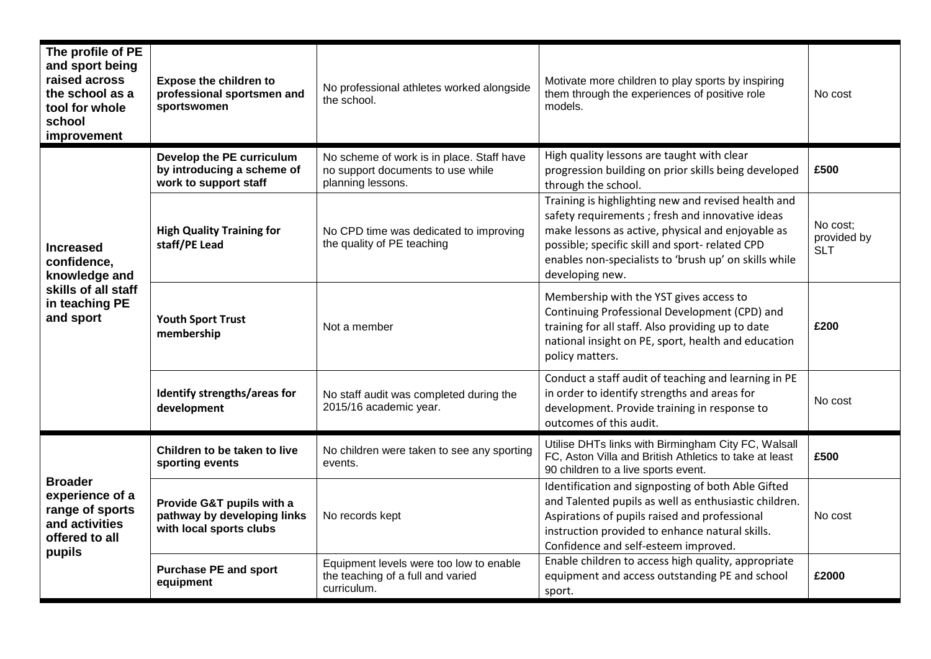| The profile of PE<br>and sport being<br>raised across<br>the school as a<br>tool for whole<br>school<br>improvement | <b>Expose the children to</b><br>professional sportsmen and<br>sportswomen          | No professional athletes worked alongside<br>the school.                                            | Motivate more children to play sports by inspiring<br>them through the experiences of positive role<br>models.                                                                                                                                                                              | No cost                        |
|---------------------------------------------------------------------------------------------------------------------|-------------------------------------------------------------------------------------|-----------------------------------------------------------------------------------------------------|---------------------------------------------------------------------------------------------------------------------------------------------------------------------------------------------------------------------------------------------------------------------------------------------|--------------------------------|
| <b>Increased</b><br>confidence,<br>knowledge and<br>skills of all staff<br>in teaching PE<br>and sport              | Develop the PE curriculum<br>by introducing a scheme of<br>work to support staff    | No scheme of work is in place. Staff have<br>no support documents to use while<br>planning lessons. | High quality lessons are taught with clear<br>progression building on prior skills being developed<br>through the school.                                                                                                                                                                   | £500                           |
|                                                                                                                     | <b>High Quality Training for</b><br>staff/PE Lead                                   | No CPD time was dedicated to improving<br>the quality of PE teaching                                | Training is highlighting new and revised health and<br>safety requirements ; fresh and innovative ideas<br>make lessons as active, physical and enjoyable as<br>possible; specific skill and sport- related CPD<br>enables non-specialists to 'brush up' on skills while<br>developing new. | No cost;<br>provided by<br>SLT |
|                                                                                                                     | <b>Youth Sport Trust</b><br>membership                                              | Not a member                                                                                        | Membership with the YST gives access to<br>Continuing Professional Development (CPD) and<br>training for all staff. Also providing up to date<br>national insight on PE, sport, health and education<br>policy matters.                                                                     | £200                           |
|                                                                                                                     | Identify strengths/areas for<br>development                                         | No staff audit was completed during the<br>2015/16 academic year.                                   | Conduct a staff audit of teaching and learning in PE<br>in order to identify strengths and areas for<br>development. Provide training in response to<br>outcomes of this audit.                                                                                                             | No cost                        |
| <b>Broader</b><br>experience of a<br>range of sports<br>and activities<br>offered to all<br>pupils                  | Children to be taken to live<br>sporting events                                     | No children were taken to see any sporting<br>events.                                               | Utilise DHTs links with Birmingham City FC, Walsall<br>FC, Aston Villa and British Athletics to take at least<br>90 children to a live sports event.                                                                                                                                        | £500                           |
|                                                                                                                     | Provide G&T pupils with a<br>pathway by developing links<br>with local sports clubs | No records kept                                                                                     | Identification and signposting of both Able Gifted<br>and Talented pupils as well as enthusiastic children.<br>Aspirations of pupils raised and professional<br>instruction provided to enhance natural skills.<br>Confidence and self-esteem improved.                                     | No cost                        |
|                                                                                                                     | <b>Purchase PE and sport</b><br>equipment                                           | Equipment levels were too low to enable<br>the teaching of a full and varied<br>curriculum.         | Enable children to access high quality, appropriate<br>equipment and access outstanding PE and school<br>sport.                                                                                                                                                                             | £2000                          |